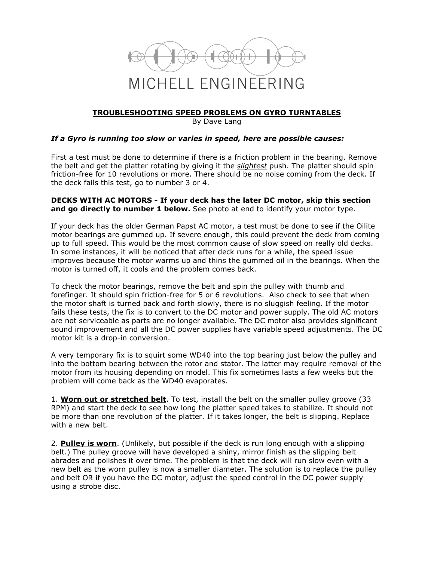

## **TROUBLESHOOTING SPEED PROBLEMS ON GYRO TURNTABLES**

By Dave Lang

## *If a Gyro is running too slow or varies in speed, here are possible causes:*

First a test must be done to determine if there is a friction problem in the bearing. Remove the belt and get the platter rotating by giving it the *slightest* push. The platter should spin friction-free for 10 revolutions or more. There should be no noise coming from the deck. If the deck fails this test, go to number 3 or 4.

## **DECKS WITH AC MOTORS - If your deck has the later DC motor, skip this section and go directly to number 1 below.** See photo at end to identify your motor type.

If your deck has the older German Papst AC motor, a test must be done to see if the Oilite motor bearings are gummed up. If severe enough, this could prevent the deck from coming up to full speed. This would be the most common cause of slow speed on really old decks. In some instances, it will be noticed that after deck runs for a while, the speed issue improves because the motor warms up and thins the gummed oil in the bearings. When the motor is turned off, it cools and the problem comes back.

To check the motor bearings, remove the belt and spin the pulley with thumb and forefinger. It should spin friction-free for 5 or 6 revolutions. Also check to see that when the motor shaft is turned back and forth slowly, there is no sluggish feeling. If the motor fails these tests, the fix is to convert to the DC motor and power supply. The old AC motors are not serviceable as parts are no longer available. The DC motor also provides significant sound improvement and all the DC power supplies have variable speed adjustments. The DC motor kit is a drop-in conversion.

A very temporary fix is to squirt some WD40 into the top bearing just below the pulley and into the bottom bearing between the rotor and stator. The latter may require removal of the motor from its housing depending on model. This fix sometimes lasts a few weeks but the problem will come back as the WD40 evaporates.

1. **Worn out or stretched belt**. To test, install the belt on the smaller pulley groove (33 RPM) and start the deck to see how long the platter speed takes to stabilize. It should not be more than one revolution of the platter. If it takes longer, the belt is slipping. Replace with a new belt.

2. **Pulley is worn**. (Unlikely, but possible if the deck is run long enough with a slipping belt.) The pulley groove will have developed a shiny, mirror finish as the slipping belt abrades and polishes it over time. The problem is that the deck will run slow even with a new belt as the worn pulley is now a smaller diameter. The solution is to replace the pulley and belt OR if you have the DC motor, adjust the speed control in the DC power supply using a strobe disc.